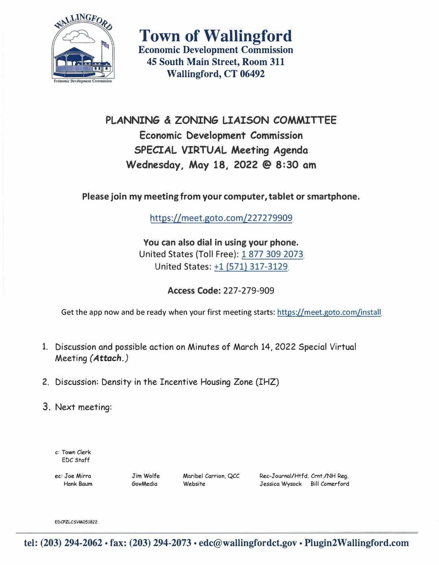

**Town of Wallingford Economic Development Commission 45 South Main Street, Room 311 Wallingford, CT 06492** 

**PLANNING & ZONING LIAISON COMMITTEE Economic Development Commission SPECIAL VIRTUAL Meeting Agenda Wednesday, May 18, 2022 @ 8:30 am** 

**Please join my meeting from your computer, tablet or smartphone.** 

https://meet.goto.com/227279909

**You can also dial in using your phone.**  United States {Toll Free}: 1 877 309 2073 United States: +1 (571) 317-3129

**Access Code:** 227-279-909

Get the app now and be ready when your first meeting starts: https://meet.goto.com/install

- 1. Discussion and possible action on Minutes of March 14, 2022 Special Virtual Meeting *(Attach.)*
- 2. Discussion: Density in the Incentive Housing Zone (IHZ)
- 3. Next meeting:

c: Town Clerk EDC Staff

ec: Joe Mirra Hank Baum

Jim Wolfe GovMedia

Maribel Carrion, QCC Website

Rec-Journal/Htfd. Crnt./NH Reg. Jessica Wysock Bill Comerford

EDCPZLCSVM051822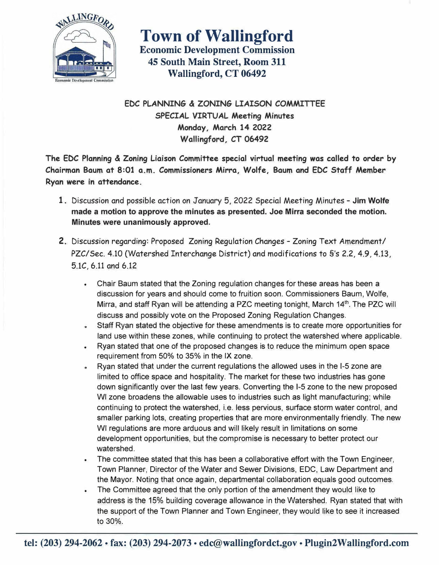

**Town of Wallingford Economic Development Commission 45 South Main Street, Room 311 Wallingford, CT 06492** 

**EDC PLANNING & ZONING LIAISON COMMITTEE SPECIAL VIRTUAL Meeting Minutes Monday, March 14 2022 Wallingford,** *CT* **06492** 

**The EDC Planning** & **Zoning Liaison Committee special virtual meeting was called to order by Chairman Baum at 8:01 a.m. Commissioners Mirra, Wolfe, Baum and EDC Staff Member Ryan were in attendance.** 

- **1.** Discussion and possible action on January 5, 2022 Special Meeting Minutes **Jim Wolfe made a motion to approve the minutes as presented. Joe Mirra seconded the motion. Minutes were unanimously approved.**
- 2. Discussion regarding: Proposed Zoning Regulation Changes Zoning Text Amendment/ PZC/Sec. 4.10 (Watershed Interchange District) and modifications to §'s 2.2, 4.9, 4.13, 5.lC, 6.11 and 6.12
	- Chair Baum stated that the Zoning regulation changes for these areas has been a discussion for years and should come to fruition soon. Commissioners Baum, Wolfe, Mirra, and staff Ryan will be attending a PZC meeting tonight, March 14<sup>th</sup>. The PZC wil discuss and possibly vote on the Proposed Zoning Regulation Changes.
	- Staff Ryan stated the objective for these amendments is to create more opportunities for land use within these zones, while continuing to protect the watershed where applicable.
	- Ryan stated that one of the proposed changes is to reduce the minimum open space requirement from 50% to 35% in the IX zone.
	- Ryan stated that under the current regulations the allowed uses in the 1-5 zone are limited to office space and hospitality. The market for these two industries has gone down significantly over the last few years. Converting the 1-5 zone to the new proposed WI zone broadens the allowable uses to industries such as light manufacturing; while continuing to protect the watershed, i.e. less pervious, surface storm water control, and smaller parking lots, creating properties that are more environmentally friendly. The new WI regulations are more arduous and will likely result in limitations on some development opportunities, but the compromise is necessary to better protect our watershed.
	- The committee stated that this has been a collaborative effort with the Town Engineer, Town Planner, Director of the Water and Sewer Divisions, EDC, Law Department and the Mayor. Noting that once again, departmental collaboration equals good outcomes.
	- The Committee agreed that the only portion of the amendment they would like to address is the 15% building coverage allowance in the Watershed. Ryan stated that with the support of the Town Planner and Town Engineer, they would like to see it increased to 30%.